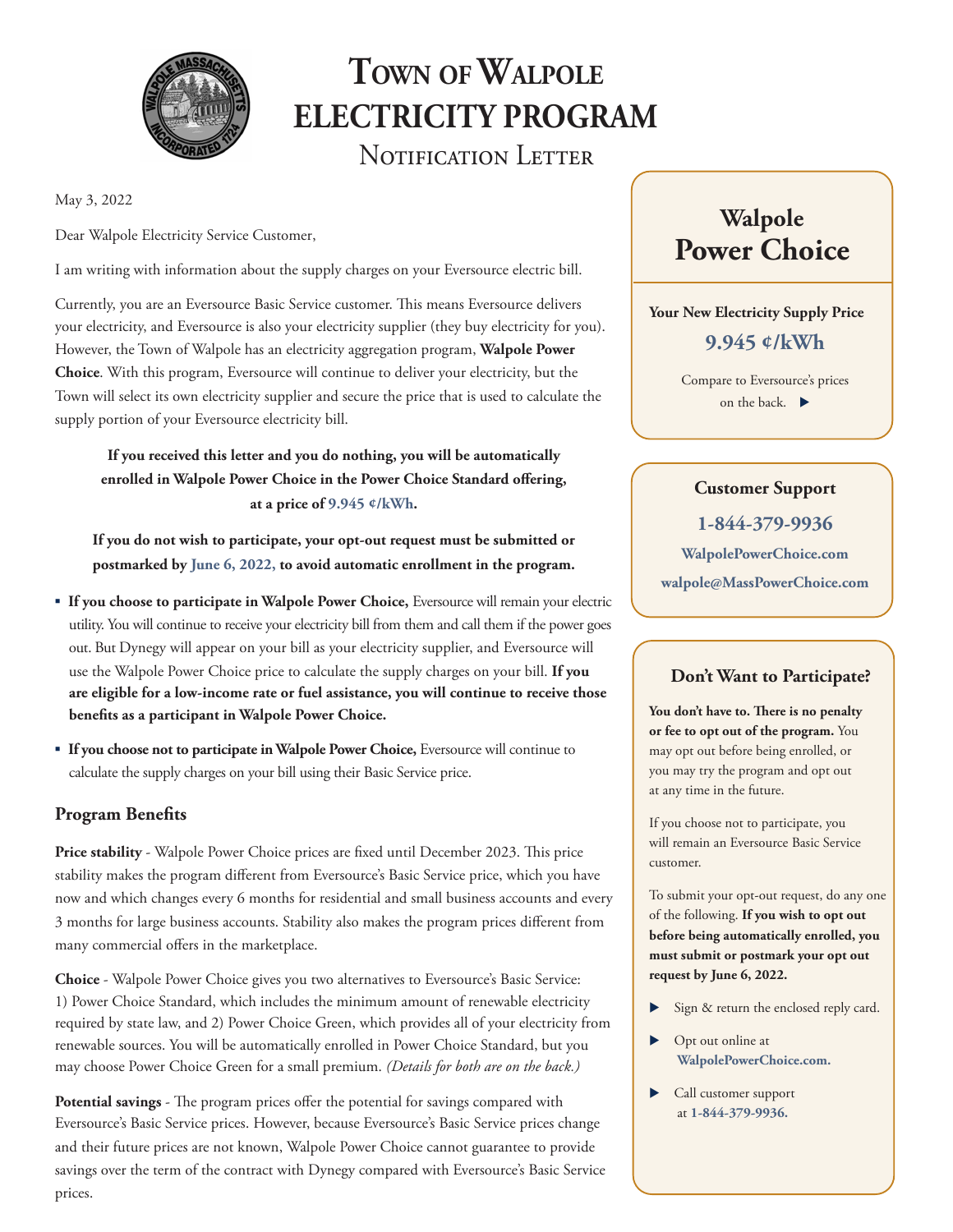

# **Town of Walpole ELECTRICITY PROGRAM**  NOTIFICATION LETTER

May 3, 2022

Dear Walpole Electricity Service Customer,

I am writing with information about the supply charges on your Eversource electric bill.

Currently, you are an Eversource Basic Service customer. This means Eversource delivers your electricity, and Eversource is also your electricity supplier (they buy electricity for you). However, the Town of Walpole has an electricity aggregation program, **Walpole Power Choice**. With this program, Eversource will continue to deliver your electricity, but the Town will select its own electricity supplier and secure the price that is used to calculate the supply portion of your Eversource electricity bill.

**If you received this letter and you do nothing, you will be automatically enrolled in Walpole Power Choice in the Power Choice Standard offering, at a price of 9.945 ¢/kWh.** 

**If you do not wish to participate, your opt-out request must be submitted or postmarked by June 6, 2022, to avoid automatic enrollment in the program.** 

- **If you choose to participate in Walpole Power Choice,** Eversource will remain your electric utility. You will continue to receive your electricity bill from them and call them if the power goes out. But Dynegy will appear on your bill as your electricity supplier, and Eversource will use the Walpole Power Choice price to calculate the supply charges on your bill. **If you are eligible for a low-income rate or fuel assistance, you will continue to receive those benefits as a participant in Walpole Power Choice.**
- **If you choose not to participate in Walpole Power Choice,** Eversource will continue to calculate the supply charges on your bill using their Basic Service price.

#### **Program Benefits**

**Price stability** - Walpole Power Choice prices are fixed until December 2023. This price stability makes the program different from Eversource's Basic Service price, which you have now and which changes every 6 months for residential and small business accounts and every 3 months for large business accounts. Stability also makes the program prices different from many commercial offers in the marketplace.

**Choice** - Walpole Power Choice gives you two alternatives to Eversource's Basic Service: 1) Power Choice Standard, which includes the minimum amount of renewable electricity required by state law, and 2) Power Choice Green, which provides all of your electricity from renewable sources. You will be automatically enrolled in Power Choice Standard, but you may choose Power Choice Green for a small premium. *(Details for both are on the back.)*

**Potential savings** - The program prices offer the potential for savings compared with Eversource's Basic Service prices. However, because Eversource's Basic Service prices change and their future prices are not known, Walpole Power Choice cannot guarantee to provide savings over the term of the contract with Dynegy compared with Eversource's Basic Service prices.

# **Walpole Power Choice**

**Your New Electricity Supply Price 9.945 ¢/kWh**

> Compare to Eversource's prices on the back.

#### **Customer Support**

**1-844-379-9936 WalpolePowerChoice.com walpole@MassPowerChoice.com**

#### **Don't Want to Participate?**

**You don't have to. There is no penalty or fee to opt out of the program.** You may opt out before being enrolled, or you may try the program and opt out at any time in the future.

If you choose not to participate, you will remain an Eversource Basic Service customer.

To submit your opt-out request, do any one of the following. **If you wish to opt out before being automatically enrolled, you must submit or postmark your opt out request by June 6, 2022.**

- Sign & return the enclosed reply card.
- Opt out online at **WalpolePowerChoice.com.**
- Call customer support at **1-844-379-9936.**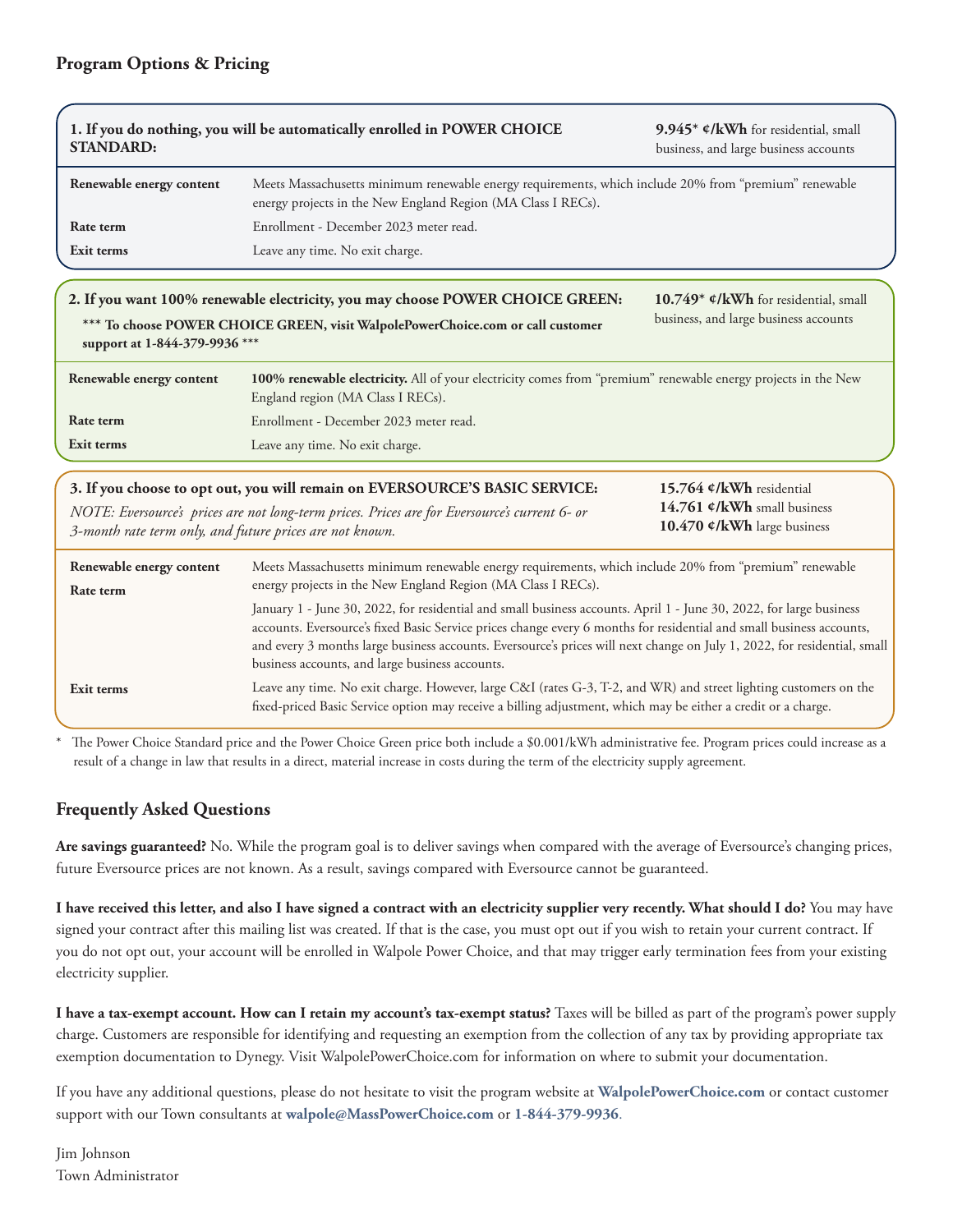#### **Program Options & Pricing**

| <b>STANDARD:</b>                                                                                                                                          | 1. If you do nothing, you will be automatically enrolled in POWER CHOICE                                                                                                                                                                                                                                                                                                                                                   | 9.945* ¢/kWh for residential, small<br>business, and large business accounts  |
|-----------------------------------------------------------------------------------------------------------------------------------------------------------|----------------------------------------------------------------------------------------------------------------------------------------------------------------------------------------------------------------------------------------------------------------------------------------------------------------------------------------------------------------------------------------------------------------------------|-------------------------------------------------------------------------------|
| Renewable energy content                                                                                                                                  | Meets Massachusetts minimum renewable energy requirements, which include 20% from "premium" renewable<br>energy projects in the New England Region (MA Class I RECs).                                                                                                                                                                                                                                                      |                                                                               |
| Rate term                                                                                                                                                 | Enrollment - December 2023 meter read.                                                                                                                                                                                                                                                                                                                                                                                     |                                                                               |
| Exit terms                                                                                                                                                | Leave any time. No exit charge.                                                                                                                                                                                                                                                                                                                                                                                            |                                                                               |
|                                                                                                                                                           | 2. If you want 100% renewable electricity, you may choose POWER CHOICE GREEN:<br>*** To choose POWER CHOICE GREEN, visit WalpolePowerChoice.com or call customer                                                                                                                                                                                                                                                           | 10.749* ¢/kWh for residential, small<br>business, and large business accounts |
| support at 1-844-379-9936 ***                                                                                                                             |                                                                                                                                                                                                                                                                                                                                                                                                                            |                                                                               |
| Renewable energy content                                                                                                                                  | 100% renewable electricity. All of your electricity comes from "premium" renewable energy projects in the New<br>England region (MA Class I RECs).                                                                                                                                                                                                                                                                         |                                                                               |
| Rate term                                                                                                                                                 | Enrollment - December 2023 meter read.                                                                                                                                                                                                                                                                                                                                                                                     |                                                                               |
| Exit terms                                                                                                                                                | Leave any time. No exit charge.                                                                                                                                                                                                                                                                                                                                                                                            |                                                                               |
|                                                                                                                                                           | 3. If you choose to opt out, you will remain on EVERSOURCE'S BASIC SERVICE:                                                                                                                                                                                                                                                                                                                                                | 15.764 ¢/kWh residential                                                      |
| NOTE: Eversource's prices are not long-term prices. Prices are for Eversource's current 6- or<br>3-month rate term only, and future prices are not known. |                                                                                                                                                                                                                                                                                                                                                                                                                            | 14.761 ¢/kWh small business<br>10.470 ¢/kWh large business                    |
| Renewable energy content<br>Rate term                                                                                                                     | Meets Massachusetts minimum renewable energy requirements, which include 20% from "premium" renewable<br>energy projects in the New England Region (MA Class I RECs).                                                                                                                                                                                                                                                      |                                                                               |
|                                                                                                                                                           | January 1 - June 30, 2022, for residential and small business accounts. April 1 - June 30, 2022, for large business<br>accounts. Eversource's fixed Basic Service prices change every 6 months for residential and small business accounts,<br>and every 3 months large business accounts. Eversource's prices will next change on July 1, 2022, for residential, small<br>business accounts, and large business accounts. |                                                                               |
| Exit terms                                                                                                                                                | Leave any time. No exit charge. However, large C&I (rates G-3, T-2, and WR) and street lighting customers on the<br>fixed-priced Basic Service option may receive a billing adjustment, which may be either a credit or a charge.                                                                                                                                                                                          |                                                                               |

noice Standard price and the Power Choice Green price both include a \$0.001/kWh administrative fee. Program prices could increase as a result of a change in law that results in a direct, material increase in costs during the term of the electricity supply agreement.

#### **Frequently Asked Questions**

**Are savings guaranteed?** No. While the program goal is to deliver savings when compared with the average of Eversource's changing prices, future Eversource prices are not known. As a result, savings compared with Eversource cannot be guaranteed.

**I have received this letter, and also I have signed a contract with an electricity supplier very recently. What should I do?** You may have signed your contract after this mailing list was created. If that is the case, you must opt out if you wish to retain your current contract. If you do not opt out, your account will be enrolled in Walpole Power Choice, and that may trigger early termination fees from your existing electricity supplier.

**I have a tax-exempt account. How can I retain my account's tax-exempt status?** Taxes will be billed as part of the program's power supply charge. Customers are responsible for identifying and requesting an exemption from the collection of any tax by providing appropriate tax exemption documentation to Dynegy. Visit WalpolePowerChoice.com for information on where to submit your documentation.

If you have any additional questions, please do not hesitate to visit the program website at **WalpolePowerChoice.com** or contact customer support with our Town consultants at **walpole@MassPowerChoice.com** or **1-844-379-9936**.

Jim Johnson Town Administrator